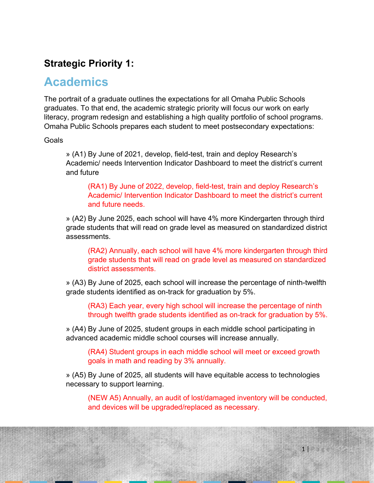## **Strategic Priority 1:**

## **Academics**

The portrait of a graduate outlines the expectations for all Omaha Public Schools graduates. To that end, the academic strategic priority will focus our work on early literacy, program redesign and establishing a high quality portfolio of school programs. Omaha Public Schools prepares each student to meet postsecondary expectations:

### **Goals**

» (A1) By June of 2021, develop, field-test, train and deploy Research's Academic/ needs Intervention Indicator Dashboard to meet the district's current and future

(RA1) By June of 2022, develop, field-test, train and deploy Research's Academic/ Intervention Indicator Dashboard to meet the district's current and future needs.

» (A2) By June 2025, each school will have 4% more Kindergarten through third grade students that will read on grade level as measured on standardized district assessments.

(RA2) Annually, each school will have 4% more kindergarten through third grade students that will read on grade level as measured on standardized district assessments.

» (A3) By June of 2025, each school will increase the percentage of ninth-twelfth grade students identified as on-track for graduation by 5%.

(RA3) Each year, every high school will increase the percentage of ninth through twelfth grade students identified as on-track for graduation by 5%.

» (A4) By June of 2025, student groups in each middle school participating in advanced academic middle school courses will increase annually.

(RA4) Student groups in each middle school will meet or exceed growth goals in math and reading by 3% annually.

» (A5) By June of 2025, all students will have equitable access to technologies necessary to support learning.

(NEW A5) Annually, an audit of lost/damaged inventory will be conducted, and devices will be upgraded/replaced as necessary.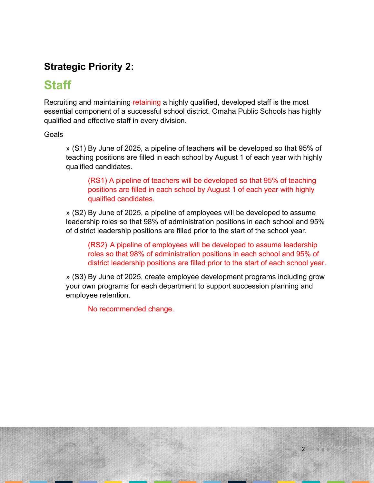## **Strategic Priority 2:**

# **Staff**

Recruiting and maintaining retaining a highly qualified, developed staff is the most essential component of a successful school district. Omaha Public Schools has highly qualified and effective staff in every division.

Goals

» (S1) By June of 2025, a pipeline of teachers will be developed so that 95% of teaching positions are filled in each school by August 1 of each year with highly qualified candidates.

(RS1) A pipeline of teachers will be developed so that 95% of teaching positions are filled in each school by August 1 of each year with highly qualified candidates.

» (S2) By June of 2025, a pipeline of employees will be developed to assume leadership roles so that 98% of administration positions in each school and 95% of district leadership positions are filled prior to the start of the school year.

(RS2) A pipeline of employees will be developed to assume leadership roles so that 98% of administration positions in each school and 95% of district leadership positions are filled prior to the start of each school year.

» (S3) By June of 2025, create employee development programs including grow your own programs for each department to support succession planning and employee retention.

No recommended change.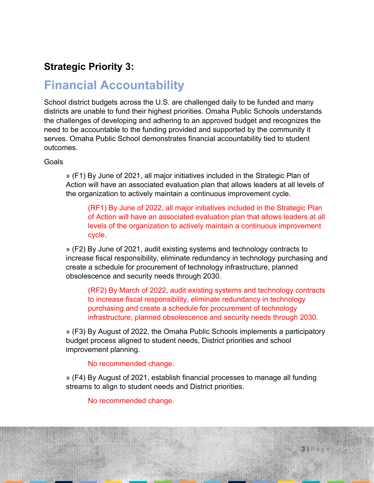## **Strategic Priority 3:**

# **Financial Accountability**

School district budgets across the U.S. are challenged daily to be funded and many districts are unable to fund their highest priorities. Omaha Public Schools understands the challenges of developing and adhering to an approved budget and recognizes the need to be accountable to the funding provided and supported by the community it serves. Omaha Public School demonstrates financial accountability tied to student outcomes.

Goals

» (F1) By June of 2021, all major initiatives included in the Strategic Plan of Action will have an associated evaluation plan that allows leaders at all levels of the organization to actively maintain a continuous improvement cycle.

(RF1) By June of 2022, all major initiatives included in the Strategic Plan of Action will have an associated evaluation plan that allows leaders at all levels of the organization to actively maintain a continuous improvement cycle.

» (F2) By June of 2021, audit existing systems and technology contracts to increase fiscal responsibility, eliminate redundancy in technology purchasing and create a schedule for procurement of technology infrastructure, planned obsolescence and security needs through 2030.

(RF2) By March of 2022, audit existing systems and technology contracts to increase fiscal responsibility, eliminate redundancy in technology purchasing and create a schedule for procurement of technology infrastructure, planned obsolescence and security needs through 2030.

» (F3) By August of 2022, the Omaha Public Schools implements a participatory budget process aligned to student needs, District priorities and school improvement planning.

No recommended change.

» (F4) By August of 2021, establish financial processes to manage all funding streams to align to student needs and District priorities.

No recommended change.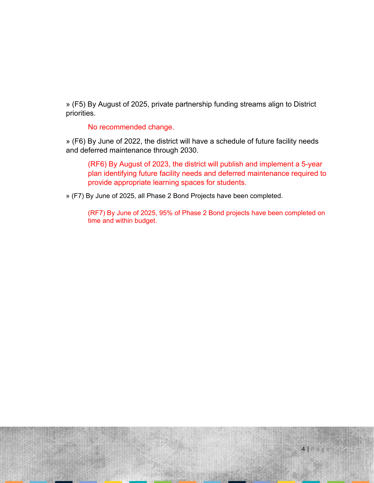» (F5) By August of 2025, private partnership funding streams align to District priorities.

No recommended change.

» (F6) By June of 2022, the district will have a schedule of future facility needs and deferred maintenance through 2030.

(RF6) By August of 2023, the district will publish and implement a 5-year plan identifying future facility needs and deferred maintenance required to provide appropriate learning spaces for students.

» (F7) By June of 2025, all Phase 2 Bond Projects have been completed.

(RF7) By June of 2025, 95% of Phase 2 Bond projects have been completed on time and within budget.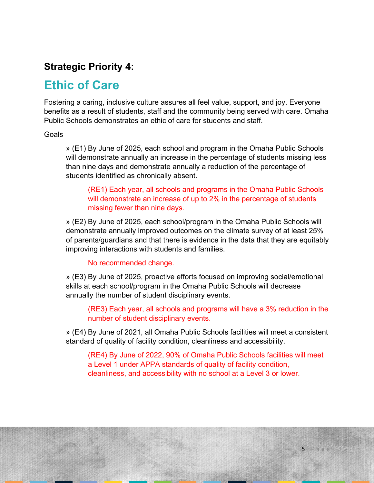### **Strategic Priority 4:**

## **Ethic of Care**

Fostering a caring, inclusive culture assures all feel value, support, and joy. Everyone benefits as a result of students, staff and the community being served with care. Omaha Public Schools demonstrates an ethic of care for students and staff.

### Goals

» (E1) By June of 2025, each school and program in the Omaha Public Schools will demonstrate annually an increase in the percentage of students missing less than nine days and demonstrate annually a reduction of the percentage of students identified as chronically absent.

(RE1) Each year, all schools and programs in the Omaha Public Schools will demonstrate an increase of up to 2% in the percentage of students missing fewer than nine days.

» (E2) By June of 2025, each school/program in the Omaha Public Schools will demonstrate annually improved outcomes on the climate survey of at least 25% of parents/guardians and that there is evidence in the data that they are equitably improving interactions with students and families.

#### No recommended change.

» (E3) By June of 2025, proactive efforts focused on improving social/emotional skills at each school/program in the Omaha Public Schools will decrease annually the number of student disciplinary events.

(RE3) Each year, all schools and programs will have a 3% reduction in the number of student disciplinary events.

» (E4) By June of 2021, all Omaha Public Schools facilities will meet a consistent standard of quality of facility condition, cleanliness and accessibility.

(RE4) By June of 2022, 90% of Omaha Public Schools facilities will meet a Level 1 under APPA standards of quality of facility condition, cleanliness, and accessibility with no school at a Level 3 or lower.